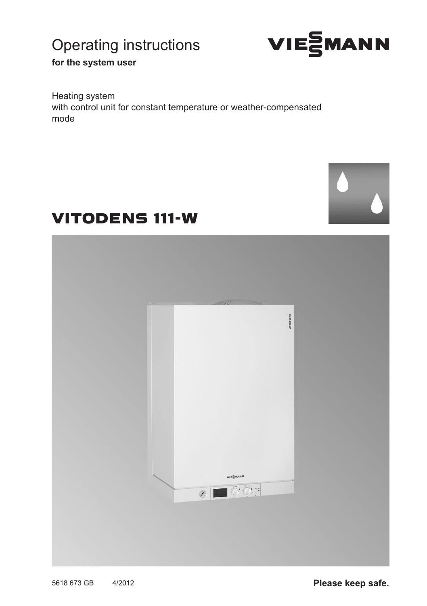# Operating instructions



**for the system user**

Heating system with control unit for constant temperature or weather-compensated mode



# VITODENS 111-W

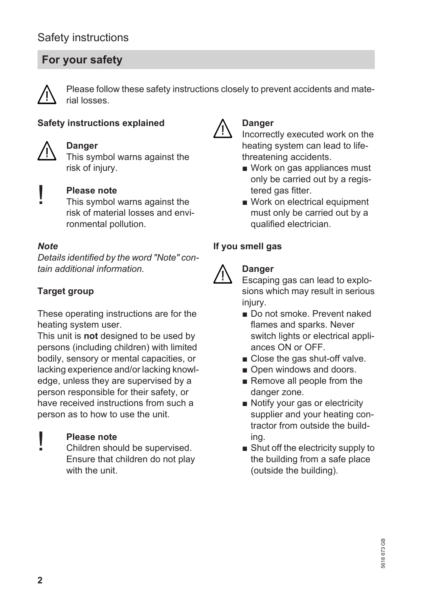# **For your safety**



Please follow these safety instructions closely to prevent accidents and material losses.

#### **Safety instructions explained**



#### **Danger**

This symbol warns against the risk of injury.



#### **Please note**

This symbol warns against the risk of material losses and environmental pollution.

#### *Note*

*Details identified by the word "Note" contain additional information.*

### **Target group**

These operating instructions are for the heating system user.

This unit is **not** designed to be used by persons (including children) with limited bodily, sensory or mental capacities, or lacking experience and/or lacking knowledge, unless they are supervised by a person responsible for their safety, or have received instructions from such a person as to how to use the unit.

#### **Please note**

Children should be supervised. Ensure that children do not play with the unit.



#### **Danger**

Incorrectly executed work on the heating system can lead to lifethreatening accidents.

- Work on gas appliances must only be carried out by a registered gas fitter.
- Work on electrical equipment must only be carried out by a qualified electrician.

### **If you smell gas**



#### **Danger**

Escaping gas can lead to explosions which may result in serious injury.

- Do not smoke. Prevent naked flames and sparks. Never switch lights or electrical appliances ON or OFF.
- Close the gas shut-off valve.
- Open windows and doors.
- Remove all people from the danger zone.
- Notify your gas or electricity supplier and your heating contractor from outside the building.
- Shut off the electricity supply to the building from a safe place (outside the building).

!<br>!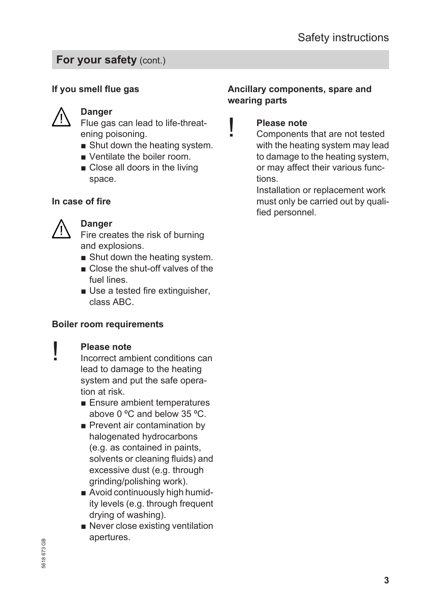## **For your safety (cont.)**

## **If you smell flue gas**



### **Danger**

Flue gas can lead to life-threatening poisoning.

- Shut down the heating system.
- Ventilate the boiler room.
- Close all doors in the living space.

#### **In case of fire**



!<br>!

#### **Danger**

Fire creates the risk of burning and explosions.

- Shut down the heating system.
- Close the shut-off valves of the fuel lines.
- Use a tested fire extinguisher, class ABC.

#### **Boiler room requirements**

#### **Please note**

- Incorrect ambient conditions can lead to damage to the heating system and put the safe operation at risk.
	- Ensure ambient temperatures above 0 ºC and below 35 ºC.
	- Prevent air contamination by halogenated hydrocarbons (e.g. as contained in paints, solvents or cleaning fluids) and excessive dust (e.g. through grinding/polishing work).
	- Avoid continuously high humidity levels (e.g. through frequent drying of washing).
	- Never close existing ventilation apertures.

#### **Ancillary components, spare and wearing parts**



## **Please note**

Components that are not tested with the heating system may lead to damage to the heating system, or may affect their various functions.

Installation or replacement work must only be carried out by qualified personnel.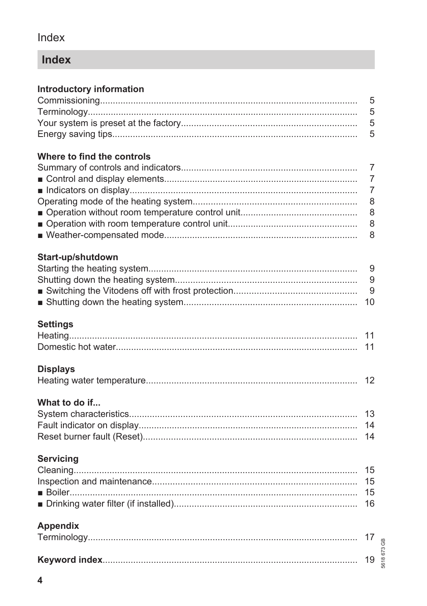## Index

# Index

## **Introductory information**

## Where to find the controls

## Start-up/shutdown

## **Settings**

## **Displays**

|--|--|--|

## What to do if...

## **Servicing**

## **Appendix**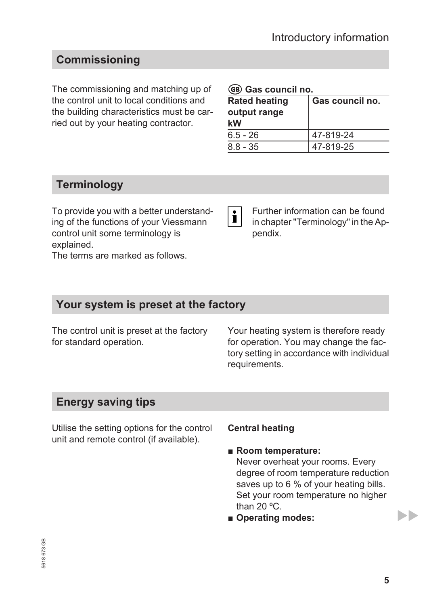# <span id="page-4-0"></span>**Commissioning**

The commissioning and matching up of the control unit to local conditions and the building characteristics must be carried out by your heating contractor.

#### g **Gas council no.**

| <b>Rated heating</b><br>output range<br>kW | Gas council no. |
|--------------------------------------------|-----------------|
| $6.5 - 26$                                 | 47-819-24       |
| $8.8 - 35$                                 | 47-819-25       |

## **Terminology**

To provide you with a better understanding of the functions of your Viessmann control unit some terminology is explained.

The terms are marked as follows.

Further information can be found  $|\mathbf{i}|$ in chapter "Terminology" in the Appendix.

## **Your system is preset at the factory**

The control unit is preset at the factory for standard operation.

Your heating system is therefore ready for operation. You may change the factory setting in accordance with individual requirements.

## **Energy saving tips**

Utilise the setting options for the control unit and remote control (if available).

#### **Central heating**

#### ■ **Room temperature:** Never overheat your rooms. Every degree of room temperature reduction saves up to 6 % of your heating bills. Set your room temperature no higher than 20 ºC.

■ **Operating modes:** 

ьħ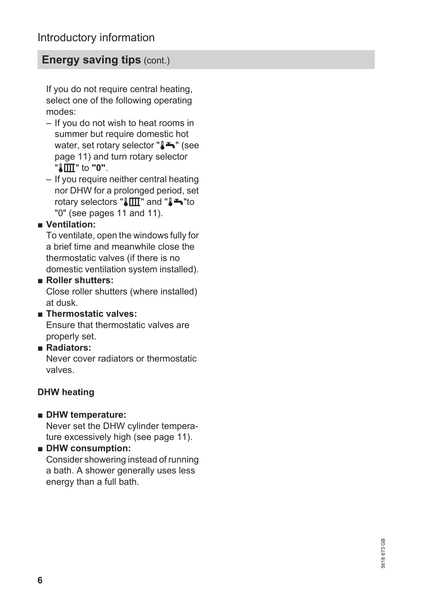## **Energy saving tips (cont.)**

If you do not require central heating, select one of the following operating modes:

- If you do not wish to heat rooms in summer but require domestic hot water, set rotary selector "╏<del>ட</del>" (see page [11](#page-10-0)) and turn rotary selector "tr" to **"0"**.
- If you require neither central heating nor DHW for a prolonged period, set rotary selectors " $\text{Im}$ " and " $\blacktriangleright$ "to "0" (see pages [11](#page-10-0) and [11\)](#page-10-0).

#### ■ **Ventilation:**

To ventilate, open the windows fully for a brief time and meanwhile close the thermostatic valves (if there is no domestic ventilation system installed).

#### ■ **Roller shutters:**

Close roller shutters (where installed) at dusk.

#### ■ **Thermostatic valves:**

Ensure that thermostatic valves are properly set.

#### ■ **Radiators:**

Never cover radiators or thermostatic valves.

### **DHW heating**

- **DHW temperature:** Never set the DHW cylinder temperature excessively high (see page [11\)](#page-10-0).
- **DHW consumption:** Consider showering instead of running a bath. A shower generally uses less energy than a full bath.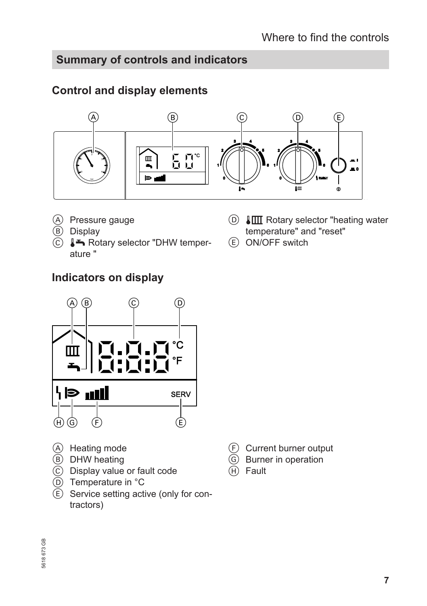## <span id="page-6-0"></span>**Summary of controls and indicators**

## **Control and display elements**



- A Pressure gauge
- **B** Display
- $\overline{C}$   $\blacktriangleright$  Rotary selector "DHW temperature "
- $\overline{CD}$   $\overline{L}$  Rotary selector "heating water temperature" and "reset"
- E ON/OFF switch

## **Indicators on display**



- A Heating mode
- (B) DHW heating
- C Display value or fault code
- $\overline{D}$  Temperature in  $\degree C$
- $\overline{E}$  Service setting active (only for contractors)
- F Current burner output
- G Burner in operation
- Fault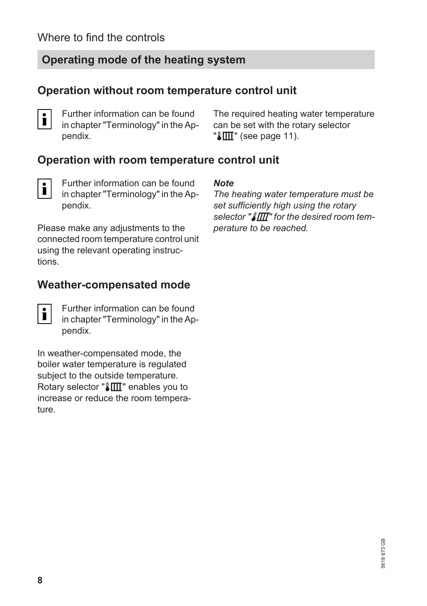# <span id="page-7-0"></span>**Operating mode of the heating system**

## **Operation without room temperature control unit**

 $\mathbf i$ 

Further information can be found in chapter "Terminology" in the Appendix.

The required heating water temperature can be set with the rotary selector  $\mathbb{T}$   $\mathbb{I}$ " (see page [11\)](#page-10-0).

## **Operation with room temperature control unit**

 $\mathbf{i}$ 

Further information can be found in chapter "Terminology" in the Appendix.

Please make any adjustments to the connected room temperature control unit using the relevant operating instructions.

## **Weather-compensated mode**

|--|--|

Further information can be found in chapter "Terminology" in the Appendix.

In weather-compensated mode, the boiler water temperature is regulated subject to the outside temperature. Rotary selector " $\llbracket \text{III} \rrbracket$ " enables you to increase or reduce the room temperature.

#### *Note*

*The heating water temperature must be set sufficiently high using the rotary* selector " $\sqrt{\mathbb{I}T}$ " for the desired room tem*perature to be reached.*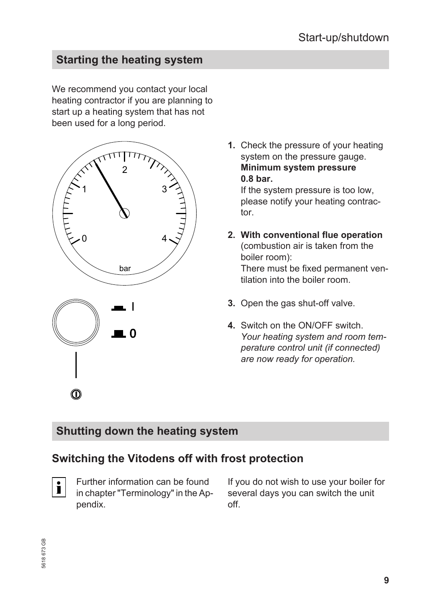# <span id="page-8-0"></span>**Starting the heating system**

We recommend you contact your local heating contractor if you are planning to start up a heating system that has not been used for a long period.





**1.** Check the pressure of your heating system on the pressure gauge. **Minimum system pressure 0.8 bar.**

If the system pressure is too low, please notify your heating contractor.

- **2. With conventional flue operation** (combustion air is taken from the boiler room): There must be fixed permanent ventilation into the boiler room.
- **3.** Open the gas shut-off valve.
- **4.** Switch on the ON/OFF switch. *Your heating system and room temperature control unit (if connected) are now ready for operation.*

## **Shutting down the heating system**

## **Switching the Vitodens off with frost protection**



Further information can be found in chapter "Terminology" in the Appendix.

If you do not wish to use your boiler for several days you can switch the unit off.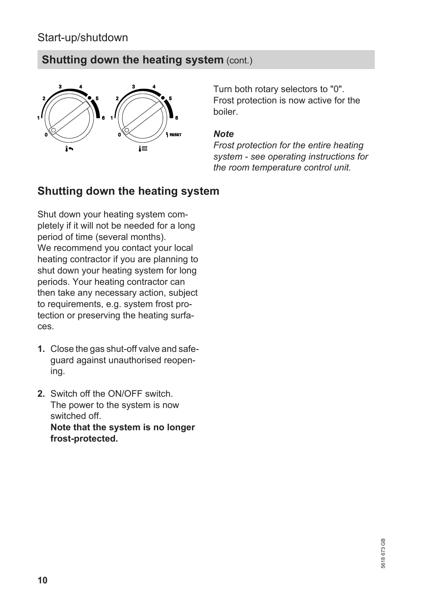## <span id="page-9-0"></span>Start-up/shutdown

## **Shutting down the heating system (cont.)**



Turn both rotary selectors to "0". Frost protection is now active for the boiler.

#### *Note*

*Frost protection for the entire heating system - see operating instructions for the room temperature control unit.*

## **Shutting down the heating system**

Shut down your heating system completely if it will not be needed for a long period of time (several months). We recommend you contact your local heating contractor if you are planning to shut down your heating system for long periods. Your heating contractor can then take any necessary action, subject to requirements, e.g. system frost protection or preserving the heating surfaces.

- **1.** Close the gas shut-off valve and safeguard against unauthorised reopening.
- **2.** Switch off the ON/OFF switch. The power to the system is now switched off. **Note that the system is no longer frost-protected.**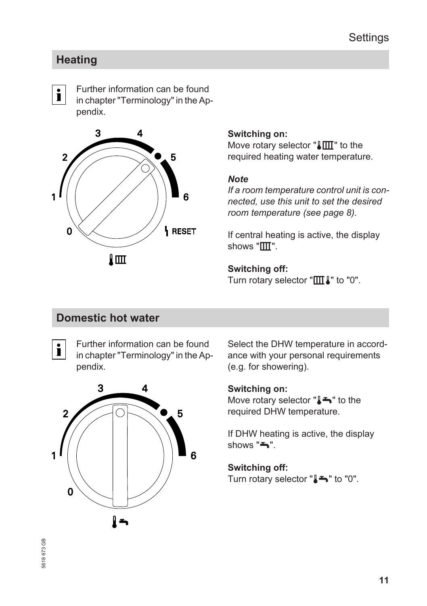## **Settings**

## <span id="page-10-0"></span>**Heating**

 $\mathbf{i}$ 

Further information can be found in chapter "Terminology" in the Appendix.



#### **Switching on:**

Move rotary selector " $\sqrt{\mathbb{III}}$ " to the required heating water temperature.

#### *Note*

*If a room temperature control unit is connected, use this unit to set the desired room temperature (see page [8\)](#page-7-0).*

If central heating is active, the display shows  $"III"$ .

**Switching off:** Turn rotary selector " $\pi$ " to "0".

## **Domestic hot water**

Further information can be found  $\mathbf{i}$ in chapter "Terminology" in the Appendix.



Select the DHW temperature in accordance with your personal requirements (e.g. for showering).

#### **Switching on:**

Move rotary selector " $I \rightarrow$ " to the required DHW temperature.

If DHW heating is active, the display  $shows "$ 

# **Switching off:**

Turn rotary selector " $\blacktriangleright$ " to "0".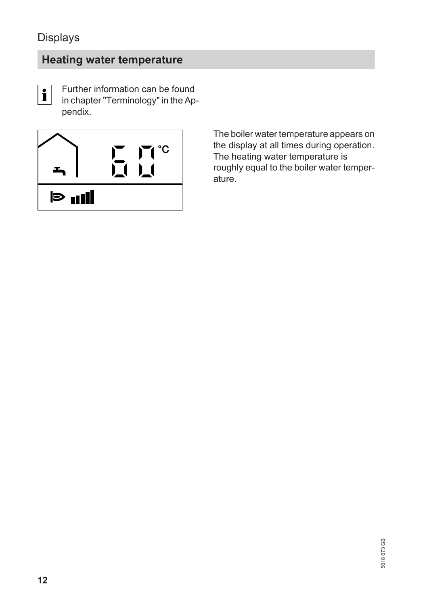## <span id="page-11-0"></span>Displays

# **Heating water temperature**

 $\mathbf{i}$ 

Further information can be found in chapter "Terminology" in the Appendix.



The boiler water temperature appears on the display at all times during operation. The heating water temperature is roughly equal to the boiler water temperature.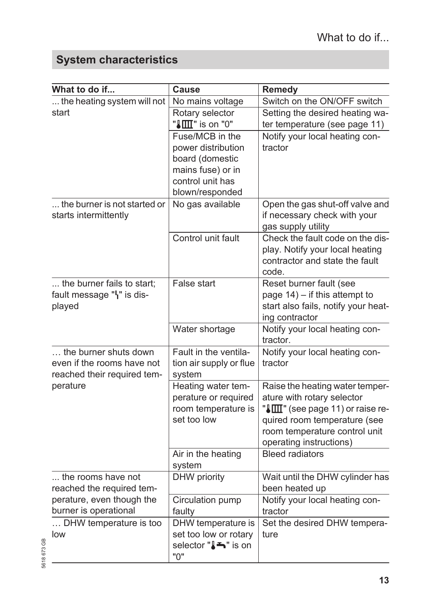# <span id="page-12-0"></span>**System characteristics**

| What to do if                                                                      | Cause                                                                                                                | <b>Remedy</b>                                                                                                                                                                                 |
|------------------------------------------------------------------------------------|----------------------------------------------------------------------------------------------------------------------|-----------------------------------------------------------------------------------------------------------------------------------------------------------------------------------------------|
| the heating system will not                                                        | No mains voltage                                                                                                     | Switch on the ON/OFF switch                                                                                                                                                                   |
| start                                                                              | Rotary selector<br>"III" is on "0"                                                                                   | Setting the desired heating wa-<br>ter temperature (see page 11)                                                                                                                              |
|                                                                                    | Fuse/MCB in the<br>power distribution<br>board (domestic<br>mains fuse) or in<br>control unit has<br>blown/responded | Notify your local heating con-<br>tractor                                                                                                                                                     |
| the burner is not started or<br>starts intermittently                              | No gas available                                                                                                     | Open the gas shut-off valve and<br>if necessary check with your<br>gas supply utility                                                                                                         |
|                                                                                    | Control unit fault                                                                                                   | Check the fault code on the dis-<br>play. Notify your local heating<br>contractor and state the fault<br>code.                                                                                |
| the burner fails to start;<br>fault message "  is dis-<br>played                   | False start                                                                                                          | Reset burner fault (see<br>page $14$ ) – if this attempt to<br>start also fails, notify your heat-<br>ing contractor                                                                          |
|                                                                                    | Water shortage                                                                                                       | Notify your local heating con-<br>tractor.                                                                                                                                                    |
| the burner shuts down<br>even if the rooms have not<br>reached their required tem- | Fault in the ventila-<br>tion air supply or flue<br>system                                                           | Notify your local heating con-<br>tractor                                                                                                                                                     |
| perature                                                                           | Heating water tem-<br>perature or required<br>room temperature is<br>set too low                                     | Raise the heating water temper-<br>ature with rotary selector<br>"III" (see page 11) or raise re-<br>quired room temperature (see<br>room temperature control unit<br>operating instructions) |
|                                                                                    | Air in the heating<br>system                                                                                         | <b>Bleed radiators</b>                                                                                                                                                                        |
| the rooms have not<br>reached the required tem-                                    | DHW priority                                                                                                         | Wait until the DHW cylinder has<br>been heated up                                                                                                                                             |
| perature, even though the<br>burner is operational                                 | Circulation pump<br>faulty                                                                                           | Notify your local heating con-<br>tractor                                                                                                                                                     |
| DHW temperature is too<br>low                                                      | DHW temperature is<br>set too low or rotary<br>selector "↓ The " is on<br>"0"                                        | Set the desired DHW tempera-<br>ture                                                                                                                                                          |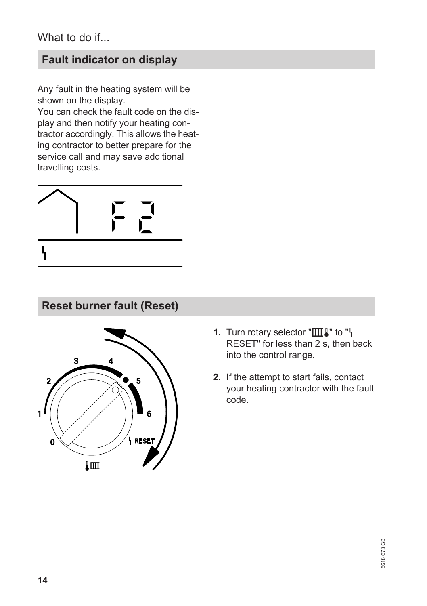# <span id="page-13-0"></span>**Fault indicator on display**

Any fault in the heating system will be shown on the display.

You can check the fault code on the display and then notify your heating contractor accordingly. This allows the heating contractor to better prepare for the service call and may save additional travelling costs.



## **Reset burner fault (Reset)**



- **1.** Turn rotary selector "IIII I" to "I RESET" for less than  $2 s$ , then back into the control range.
- **2.** If the attempt to start fails, contact your heating contractor with the fault code.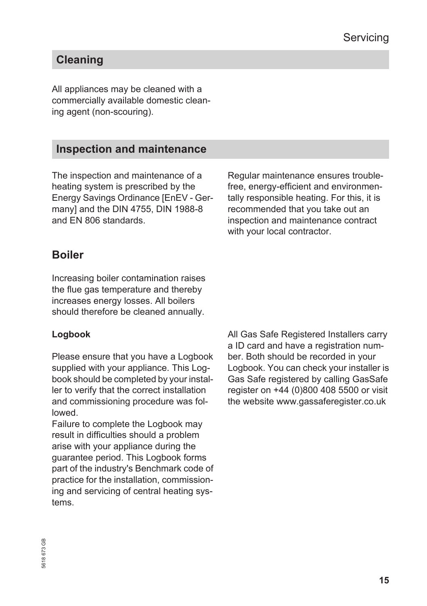# <span id="page-14-0"></span>**Cleaning**

All appliances may be cleaned with a commercially available domestic cleaning agent (non-scouring).

# **Inspection and maintenance**

The inspection and maintenance of a heating system is prescribed by the Energy Savings Ordinance [EnEV - Germany] and the DIN 4755, DIN 1988-8 and EN 806 standards.

Regular maintenance ensures troublefree, energy-efficient and environmentally responsible heating. For this, it is recommended that you take out an inspection and maintenance contract with your local contractor.

## **Boiler**

Increasing boiler contamination raises the flue gas temperature and thereby increases energy losses. All boilers should therefore be cleaned annually.

## **Logbook**

Please ensure that you have a Logbook supplied with your appliance. This Logbook should be completed by your installer to verify that the correct installation and commissioning procedure was followed.

Failure to complete the Logbook may result in difficulties should a problem arise with your appliance during the guarantee period. This Logbook forms part of the industry's Benchmark code of practice for the installation, commissioning and servicing of central heating systems.

All Gas Safe Registered Installers carry a ID card and have a registration number. Both should be recorded in your Logbook. You can check your installer is Gas Safe registered by calling GasSafe register on +44 (0)800 408 5500 or visit the website www.gassaferegister.co.uk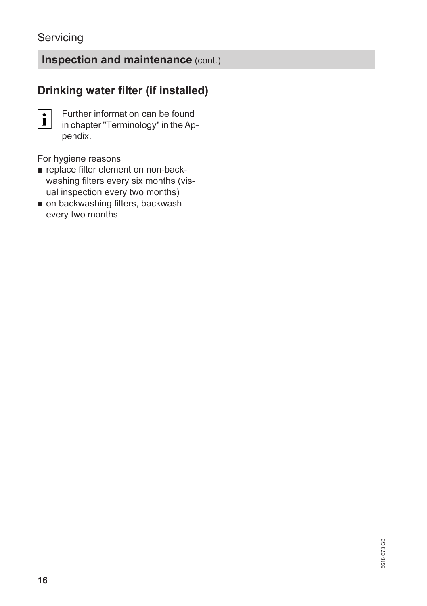## <span id="page-15-0"></span>**Servicing**

# **Inspection and maintenance** (cont.)

# **Drinking water filter (if installed)**

 $|\mathbf{i}|$ 

Further information can be found in chapter "Terminology" in the Appendix.

For hygiene reasons

- replace filter element on non-backwashing filters every six months (visual inspection every two months)
- on backwashing filters, backwash every two months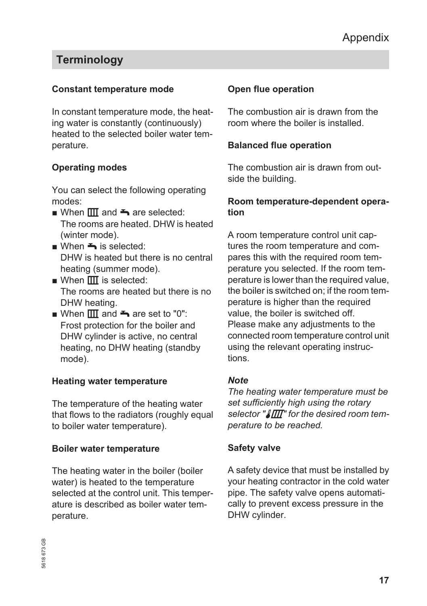# <span id="page-16-0"></span>**Terminology**

#### **Constant temperature mode**

In constant temperature mode, the heating water is constantly (continuously) heated to the selected boiler water temperature.

#### **Operating modes**

You can select the following operating modes:

- When  $\boxed{III}$  and  $\blacktriangle$  are selected: The rooms are heated. DHW is heated (winter mode).
- $\blacksquare$  When  $\blacktriangle$  is selected: DHW is heated but there is no central heating (summer mode).
- $\blacksquare$  When  $\blacksquare$  is selected: The rooms are heated but there is no DHW heating.
- When  $\overline{III}$  and  $\rightarrow$  are set to "0": Frost protection for the boiler and DHW cylinder is active, no central heating, no DHW heating (standby mode).

#### **Heating water temperature**

The temperature of the heating water that flows to the radiators (roughly equal to boiler water temperature).

#### **Boiler water temperature**

The heating water in the boiler (boiler water) is heated to the temperature selected at the control unit. This temperature is described as boiler water temperature.

### **Open flue operation**

The combustion air is drawn from the room where the boiler is installed.

#### **Balanced flue operation**

The combustion air is drawn from outside the building.

#### **Room temperature-dependent operation**

A room temperature control unit captures the room temperature and compares this with the required room temperature you selected. If the room temperature is lower than the required value, the boiler is switched on; if the room temperature is higher than the required value, the boiler is switched off. Please make any adjustments to the connected room temperature control unit using the relevant operating instructions.

#### *Note*

*The heating water temperature must be set sufficiently high using the rotary* selector " $\sqrt{\textit{III}^*}$  for the desired room tem*perature to be reached.*

### **Safety valve**

A safety device that must be installed by your heating contractor in the cold water pipe. The safety valve opens automatically to prevent excess pressure in the DHW cylinder.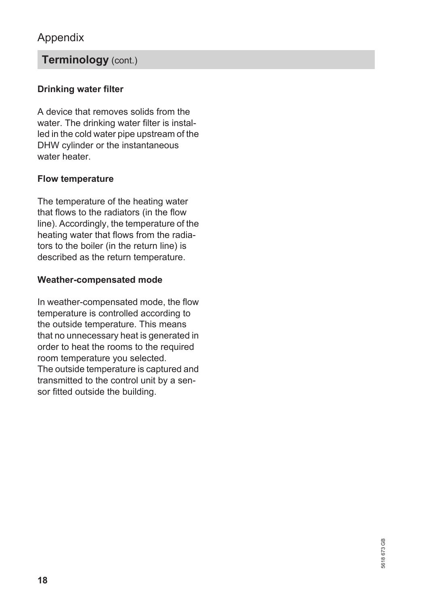## <span id="page-17-0"></span>Appendix

## **Terminology** (cont.)

## **Drinking water filter**

A device that removes solids from the water. The drinking water filter is installed in the cold water pipe upstream of the DHW cylinder or the instantaneous water heater

### **Flow temperature**

The temperature of the heating water that flows to the radiators (in the flow line). Accordingly, the temperature of the heating water that flows from the radiators to the boiler (in the return line) is described as the return temperature.

#### **Weather-compensated mode**

In weather-compensated mode, the flow temperature is controlled according to the outside temperature. This means that no unnecessary heat is generated in order to heat the rooms to the required room temperature you selected. The outside temperature is captured and transmitted to the control unit by a sensor fitted outside the building.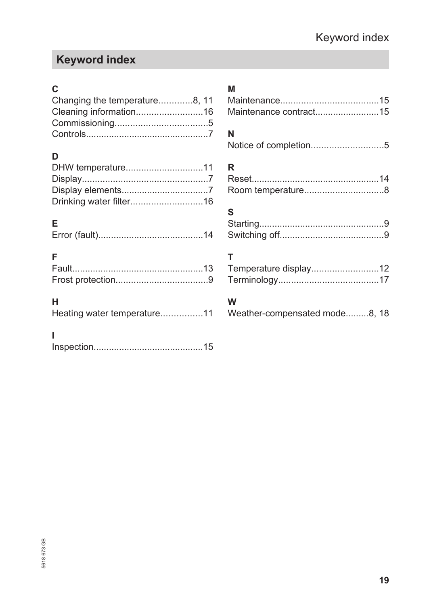# <span id="page-18-0"></span>**Keyword index**

## **C**

| Changing the temperature8, 11 |  |
|-------------------------------|--|
| Cleaning information16        |  |
|                               |  |
|                               |  |

## **D**

# **E**

|--|--|--|

# **F**

## **H**

| Heating water temperature11 |  |
|-----------------------------|--|
|                             |  |

## **I**

|--|

## **M**

| Maintenance contract15 |  |
|------------------------|--|

## **N**

|  |  | Notice of completion5 |  |
|--|--|-----------------------|--|
|--|--|-----------------------|--|

# **R**

## **S**

## **T**

| Temperature display12 |  |
|-----------------------|--|
|                       |  |

## **W**

| Weather-compensated mode8, 18 |  |  |
|-------------------------------|--|--|
|-------------------------------|--|--|